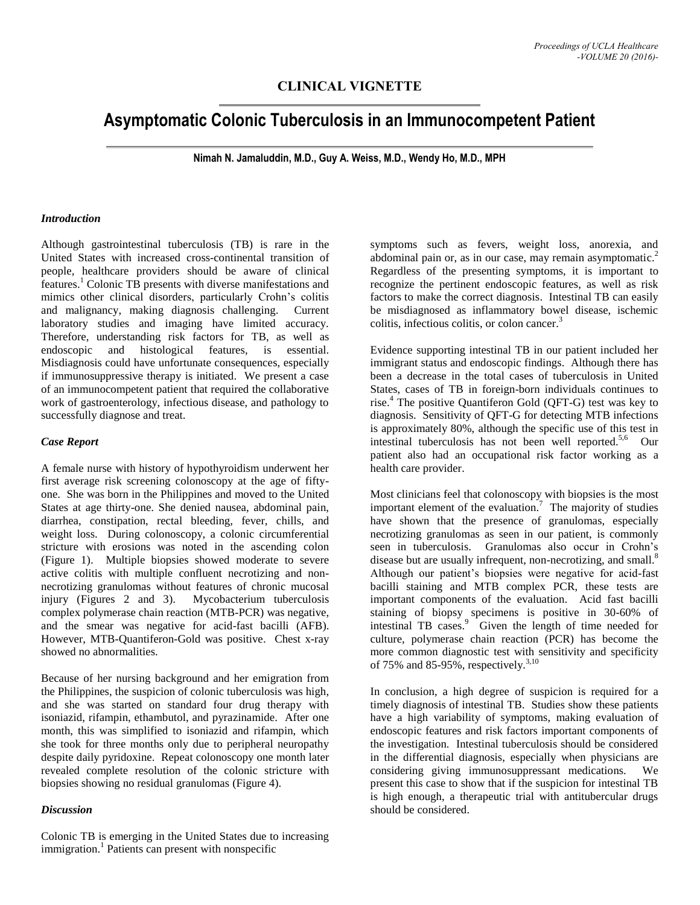# **CLINICAL VIGNETTE**

# **Asymptomatic Colonic Tuberculosis in an Immunocompetent Patient**

**Nimah N. Jamaluddin, M.D., Guy A. Weiss, M.D., Wendy Ho, M.D., MPH**

#### *Introduction*

Although gastrointestinal tuberculosis (TB) is rare in the United States with increased cross-continental transition of people, healthcare providers should be aware of clinical features.<sup>1</sup> Colonic TB presents with diverse manifestations and mimics other clinical disorders, particularly Crohn's colitis and malignancy, making diagnosis challenging. Current laboratory studies and imaging have limited accuracy. Therefore, understanding risk factors for TB, as well as endoscopic and histological features, is essential. Misdiagnosis could have unfortunate consequences, especially if immunosuppressive therapy is initiated. We present a case of an immunocompetent patient that required the collaborative work of gastroenterology, infectious disease, and pathology to successfully diagnose and treat.

#### *Case Report*

A female nurse with history of hypothyroidism underwent her first average risk screening colonoscopy at the age of fiftyone. She was born in the Philippines and moved to the United States at age thirty-one. She denied nausea, abdominal pain, diarrhea, constipation, rectal bleeding, fever, chills, and weight loss. During colonoscopy, a colonic circumferential stricture with erosions was noted in the ascending colon (Figure 1). Multiple biopsies showed moderate to severe active colitis with multiple confluent necrotizing and nonnecrotizing granulomas without features of chronic mucosal injury (Figures 2 and 3). Mycobacterium tuberculosis complex polymerase chain reaction (MTB-PCR) was negative, and the smear was negative for acid-fast bacilli (AFB). However, MTB-Quantiferon-Gold was positive. Chest x-ray showed no abnormalities.

Because of her nursing background and her emigration from the Philippines, the suspicion of colonic tuberculosis was high, and she was started on standard four drug therapy with isoniazid, rifampin, ethambutol, and pyrazinamide. After one month, this was simplified to isoniazid and rifampin, which she took for three months only due to peripheral neuropathy despite daily pyridoxine. Repeat colonoscopy one month later revealed complete resolution of the colonic stricture with biopsies showing no residual granulomas (Figure 4).

#### *Discussion*

Colonic TB is emerging in the United States due to increasing immigration. 1 Patients can present with nonspecific

symptoms such as fevers, weight loss, anorexia, and abdominal pain or, as in our case, may remain asymptomatic.<sup>2</sup> Regardless of the presenting symptoms, it is important to recognize the pertinent endoscopic features, as well as risk factors to make the correct diagnosis. Intestinal TB can easily be misdiagnosed as inflammatory bowel disease, ischemic colitis, infectious colitis, or colon cancer. 3

Evidence supporting intestinal TB in our patient included her immigrant status and endoscopic findings. Although there has been a decrease in the total cases of tuberculosis in United States, cases of TB in foreign-born individuals continues to rise. <sup>4</sup> The positive Quantiferon Gold (QFT-G) test was key to diagnosis. Sensitivity of QFT-G for detecting MTB infections is approximately 80%, although the specific use of this test in intestinal tuberculosis has not been well reported. 5,6 Our patient also had an occupational risk factor working as a health care provider.

Most clinicians feel that colonoscopy with biopsies is the most important element of the evaluation.<sup>7</sup> The majority of studies have shown that the presence of granulomas, especially necrotizing granulomas as seen in our patient, is commonly seen in tuberculosis. Granulomas also occur in Crohn's disease but are usually infrequent, non-necrotizing, and small.<sup>8</sup> Although our patient's biopsies were negative for acid-fast bacilli staining and MTB complex PCR, these tests are important components of the evaluation. Acid fast bacilli staining of biopsy specimens is positive in 30-60% of intestinal TB cases. 9 Given the length of time needed for culture, polymerase chain reaction (PCR) has become the more common diagnostic test with sensitivity and specificity of 75% and 85-95%, respectively.<sup>3,10</sup>

In conclusion, a high degree of suspicion is required for a timely diagnosis of intestinal TB. Studies show these patients have a high variability of symptoms, making evaluation of endoscopic features and risk factors important components of the investigation. Intestinal tuberculosis should be considered in the differential diagnosis, especially when physicians are considering giving immunosuppressant medications. We present this case to show that if the suspicion for intestinal TB is high enough, a therapeutic trial with antitubercular drugs should be considered.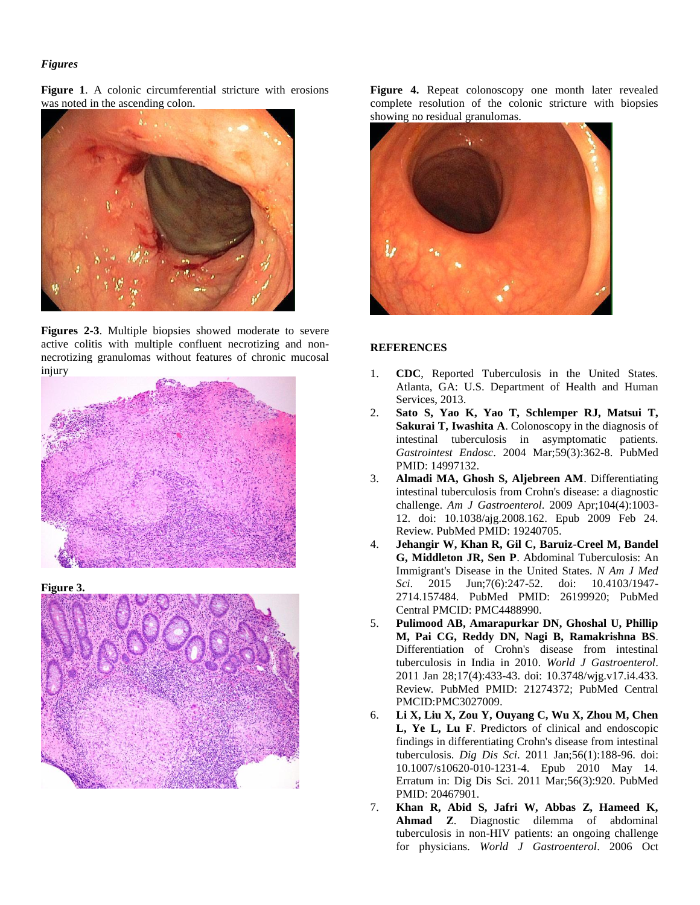## *Figures*

**Figure 1**. A colonic circumferential stricture with erosions was noted in the ascending colon.



**Figures 2-3**. Multiple biopsies showed moderate to severe active colitis with multiple confluent necrotizing and nonnecrotizing granulomas without features of chronic mucosal injury



**Figure 3.**



**Figure 4.** Repeat colonoscopy one month later revealed complete resolution of the colonic stricture with biopsies showing no residual granulomas.



### **REFERENCES**

- 1. **CDC**, Reported Tuberculosis in the United States*.* Atlanta, GA: U.S. Department of Health and Human Services, 2013.
- 2. **Sato S, Yao K, Yao T, Schlemper RJ, Matsui T, Sakurai T, Iwashita A**. Colonoscopy in the diagnosis of intestinal tuberculosis in asymptomatic patients. *Gastrointest Endosc*. 2004 Mar;59(3):362-8. PubMed PMID: 14997132.
- 3. **Almadi MA, Ghosh S, Aljebreen AM**. Differentiating intestinal tuberculosis from Crohn's disease: a diagnostic challenge. *Am J Gastroenterol*. 2009 Apr;104(4):1003- 12. doi: 10.1038/ajg.2008.162. Epub 2009 Feb 24. Review. PubMed PMID: 19240705.
- 4. **Jehangir W, Khan R, Gil C, Baruiz-Creel M, Bandel G, Middleton JR, Sen P**. Abdominal Tuberculosis: An Immigrant's Disease in the United States. *N Am J Med Sci*. 2015 Jun;7(6):247-52. doi: 10.4103/1947- 2714.157484. PubMed PMID: 26199920; PubMed Central PMCID: PMC4488990.
- 5. **Pulimood AB, Amarapurkar DN, Ghoshal U, Phillip M, Pai CG, Reddy DN, Nagi B, Ramakrishna BS**. Differentiation of Crohn's disease from intestinal tuberculosis in India in 2010. *World J Gastroenterol*. 2011 Jan 28;17(4):433-43. doi: 10.3748/wjg.v17.i4.433. Review. PubMed PMID: 21274372; PubMed Central PMCID:PMC3027009.
- 6. **Li X, Liu X, Zou Y, Ouyang C, Wu X, Zhou M, Chen L, Ye L, Lu F**. Predictors of clinical and endoscopic findings in differentiating Crohn's disease from intestinal tuberculosis. *Dig Dis Sci*. 2011 Jan;56(1):188-96. doi: 10.1007/s10620-010-1231-4. Epub 2010 May 14. Erratum in: Dig Dis Sci. 2011 Mar;56(3):920. PubMed PMID: 20467901.
- 7. **Khan R, Abid S, Jafri W, Abbas Z, Hameed K, Ahmad Z**. Diagnostic dilemma of abdominal tuberculosis in non-HIV patients: an ongoing challenge for physicians. *World J Gastroenterol*. 2006 Oct